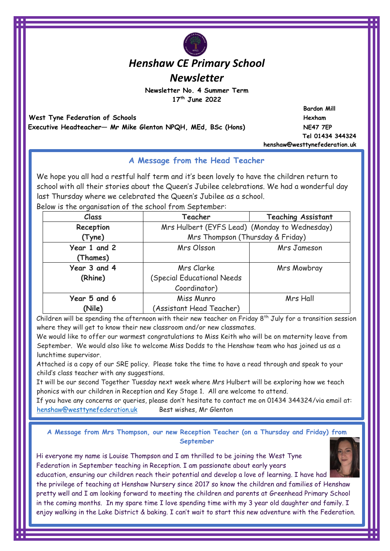# *Henshaw CE Primary School*

*Newsletter*

**Newsletter No. 4 Summer Term 17th June 2022** 

 **West Tyne Federation of Schools and Schools and Schools and Schools and Schools and Schools and Schools and Schools and Schools and Schools and Schools and Schools and Schools and Schools and Schools and Schools and Scho Executive Headteacher— Mr Mike Glenton NPQH, MEd, BSc (Hons) NE47 7EP** 

 **Bardon Mill Tel 01434 344324 henshaw@westtynefederation.uk**

# **A Message from the Head Teacher**

We hope you all had a restful half term and it's been lovely to have the children return to school with all their stories about the Queen's Jubilee celebrations. We had a wonderful day last Thursday where we celebrated the Queen's Jubilee as a school.

Below is the organisation of the school from September:

| Class                    | Teacher                                       | <b>Teaching Assistant</b> |
|--------------------------|-----------------------------------------------|---------------------------|
| Reception                | Mrs Hulbert (EYFS Lead) (Monday to Wednesday) |                           |
| (Tyne)                   | Mrs Thompson (Thursday & Friday)              |                           |
| Year 1 and 2<br>(Thames) | Mrs Olsson                                    | Mrs Jameson               |
| Year 3 and 4             | Mrs Clarke                                    | Mrs Mowbray               |
| (Rhine)                  | <b>(Special Educational Needs</b>             |                           |
|                          | Coordinator)                                  |                           |
| Year 5 and 6             | Miss Munro                                    | Mrs Hall                  |
| (Nile)                   | (Assistant Head Teacher)                      |                           |

Children will be spending the afternoon with their new teacher on Friday  $8^{th}$  July for a transition session where they will get to know their new classroom and/or new classmates.

We would like to offer our warmest congratulations to Miss Keith who will be on maternity leave from September. We would also like to welcome Miss Dodds to the Henshaw team who has joined us as a lunchtime supervisor.

Attached is a copy of our SRE policy. Please take the time to have a read through and speak to your child's class teacher with any suggestions.

It will be our second Together Tuesday next week where Mrs Hulbert will be exploring how we teach phonics with our children in Reception and Key Stage 1. All are welcome to attend.

If you have any concerns or queries, please don't hesitate to contact me on 01434 344324/via email at: [henshaw@westtynefederation.uk](mailto:henshaw@westtynefederation.uk) Best wishes, Mr Glenton

**A Message from Mrs Thompson, our new Reception Teacher (on a Thursday and Friday) from September**

Hi everyone my name is Louise Thompson and I am thrilled to be joining the West Tyne Federation in September teaching in Reception. I am passionate about early years education, ensuring our children reach their potential and develop a love of learning. I have had

the privilege of teaching at Henshaw Nursery since 2017 so know the children and families of Henshaw pretty well and I am looking forward to meeting the children and parents at Greenhead Primary School in the coming months. In my spare time I love spending time with my 3 year old daughter and family. I enjoy walking in the Lake District & baking. I can't wait to start this new adventure with the Federation.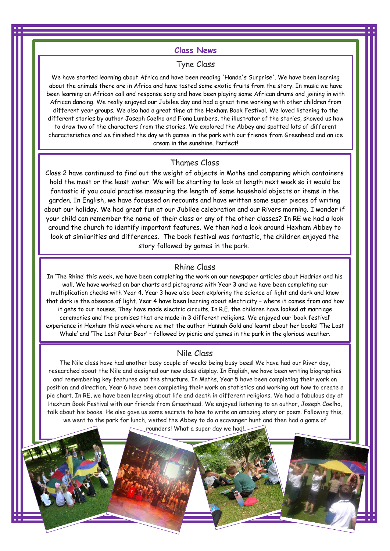#### **Class News**

# Tyne Class

We have started learning about Africa and have been reading 'Handa's Surprise'. We have been learning about the animals there are in Africa and have tasted some exotic fruits from the story. In music we have been learning an African call and response song and have been playing some African drums and joining in with African dancing. We really enjoyed our Jubilee day and had a great time working with other children from different year groups. We also had a great time at the Hexham Book Festival. We loved listening to the different stories by author Joseph Coelho and Fiona Lumbers, the illustrator of the stories, showed us how to draw two of the characters from the stories. We explored the Abbey and spotted lots of different characteristics and we finished the day with games in the park with our friends from Greenhead and an ice cream in the sunshine. Perfect!

#### Thames Class

Class 2 have continued to find out the weight of objects in Maths and comparing which containers hold the most or the least water. We will be starting to look at length next week so it would be fantastic if you could practise measuring the length of some household objects or items in the garden. In English, we have focussed on recounts and have written some super pieces of writing about our holiday. We had great fun at our Jubilee celebration and our Rivers morning. I wonder if your child can remember the name of their class or any of the other classes? In RE we had a look around the church to identify important features. We then had a look around Hexham Abbey to look at similarities and differences. The book festival was fantastic, the children enjoyed the story followed by games in the park.

#### Rhine Class

In 'The Rhine' this week, we have been completing the work on our newspaper articles about Hadrian and his wall. We have worked on bar charts and pictograms with Year 3 and we have been completing our multiplication checks with Year 4. Year 3 have also been exploring the science of light and dark and know that dark is the absence of light. Year 4 have been learning about electricity – where it comes from and how it gets to our houses. They have made electric circuits. In R.E. the children have looked at marriage ceremonies and the promises that are made in 3 different religions. We enjoyed our 'book festival' experience in Hexham this week where we met the author Hannah Gold and learnt about her books 'The Lost Whale' and 'The Last Polar Bear' – followed by picnic and games in the park in the glorious weather.

#### Nile Class

The Nile class have had another busy couple of weeks being busy bees! We have had our River day, researched about the Nile and designed our new class display. In English, we have been writing biographies and remembering key features and the structure. In Maths, Year 5 have been completing their work on position and direction. Year 6 have been completing their work on statistics and working out how to create a pie chart. In RE, we have been learning about life and death in different religions. We had a fabulous day at Hexham Book Festival with our friends from Greenhead. We enjoyed listening to an author, Joseph Coelho, talk about his books. He also gave us some secrets to how to write an amazing story or poem. Following this, we went to the park for lunch, visited the Abbey to do a scavenger hunt and then had a game of

rounders! What a super day we had!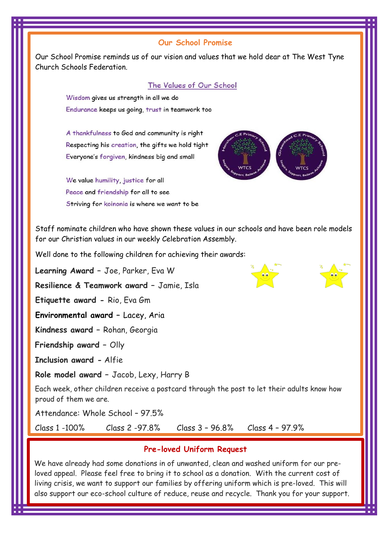# **Our School Promise**

Our School Promise reminds us of our vision and values that we hold dear at The West Tyne Church Schools Federation.

#### The Values of Our School

Wisdom gives us strength in all we do Endurance keeps us going, trust in teamwork too

A thankfulness to God and community is right Respecting his creation, the gifts we hold tight Everyone's forgiven, kindness big and small

We value humility, justice for all Peace and friendship for all to see Striving for koinonia is where we want to be



Staff nominate children who have shown these values in our schools and have been role models for our Christian values in our weekly Celebration Assembly.

Well done to the following children for achieving their awards:

**Learning Award –** Joe, Parker, Eva W

**Resilience & Teamwork award –** Jamie, Isla

**Etiquette award -** Rio, Eva Gm

**Environmental award –** Lacey, Aria

**Kindness award –** Rohan, Georgia

**Friendship award –** Olly

**Inclusion award -** Alfie

**Role model award –** Jacob, Lexy, Harry B

Each week, other children receive a postcard through the post to let their adults know how proud of them we are.

Attendance: Whole School – 97.5%

Class 1 -100% Class 2 -97.8% Class 3 – 96.8% Class 4 – 97.9%

# **Pre-loved Uniform Request**

We have already had some donations in of unwanted, clean and washed uniform for our preloved appeal. Please feel free to bring it to school as a donation. With the current cost of living crisis, we want to support our families by offering uniform which is pre-loved. This will also support our eco-school culture of reduce, reuse and recycle. Thank you for your support.



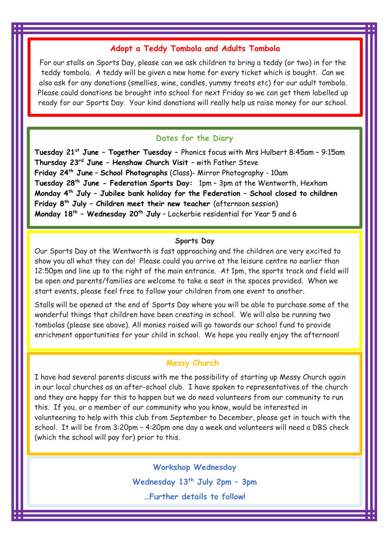## **Adopt a Teddy Tombola and Adults Tombola**

For our stalls on Sports Day, please can we ask children to bring a teddy (or two) in for the teddy tombola. A teddy will be given a new home for every ticket which is bought. Can we also ask for any donations (smellies, wine, candles, yummy treats etc) for our adult tombola. Please could donations be brought into school for next Friday so we can get them labelled up ready for our Sports Day. Your kind donations will really help us raise money for our school.

### **Dates for the Diary**

**Tuesday 21st June – Together Tuesday –** Phonics focus with Mrs Hulbert 8:45am – 9:15am **Thursday 23rd June – Henshaw Church Visit** – with Father Steve **Friday 24th June** – **School Photographs** (Class)- Mirror Photography - 10am **Tuesday 28th June - Federation Sports Day:** 1pm – 3pm at the Wentworth, Hexham **Monday 4th July – Jubilee bank holiday for the Federation – School closed to children Friday 8th July – Children meet their new teacher** (afternoon session) **Monday 18th – Wednesday 20th July** – Lockerbie residential for Year 5 and 6

#### **Sports Day**

Our Sports Day at the Wentworth is fast approaching and the children are very excited to show you all what they can do! Please could you arrive at the leisure centre no earlier than 12:50pm and line up to the right of the main entrance. At 1pm, the sports track and field will be open and parents/families are welcome to take a seat in the spaces provided. When we start events, please feel free to follow your children from one event to another.

Stalls will be opened at the end of Sports Day where you will be able to purchase some of the wonderful things that children have been creating in school. We will also be running two tombolas (please see above). All monies raised will go towards our school fund to provide enrichment opportunities for your child in school. We hope you really enjoy the afternoon!

# **Messy Church**

I have had several parents discuss with me the possibility of starting up Messy Church again in our local churches as an after-school club. I have spoken to representatives of the church and they are happy for this to happen but we do need volunteers from our community to run this. If you, or a member of our community who you know, would be interested in volunteering to help with this club from September to December, please get in touch with the school. It will be from 3:20pm – 4:20pm one day a week and volunteers will need a DBS check (which the school will pay for) prior to this.

> **Workshop Wednesday Wednesday 13th July 2pm – 3pm …Further details to follow!**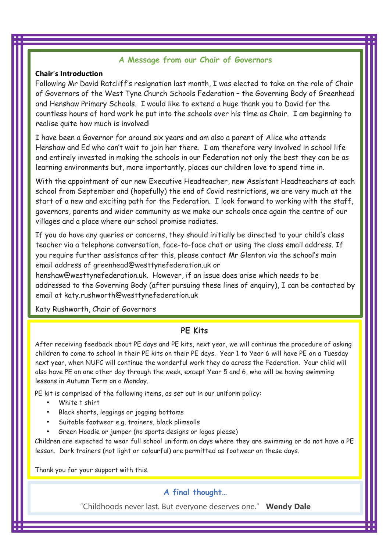## **A Message from our Chair of Governors**

#### **Chair's Introduction**

Following Mr David Ratcliff's resignation last month, I was elected to take on the role of Chair of Governors of the West Tyne Church Schools Federation – the Governing Body of Greenhead and Henshaw Primary Schools. I would like to extend a huge thank you to David for the countless hours of hard work he put into the schools over his time as Chair. I am beginning to realise quite how much is involved!

I have been a Governor for around six years and am also a parent of Alice who attends Henshaw and Ed who can't wait to join her there. I am therefore very involved in school life and entirely invested in making the schools in our Federation not only the best they can be as learning environments but, more importantly, places our children love to spend time in.

With the appointment of our new Executive Headteacher, new Assistant Headteachers at each school from September and (hopefully) the end of Covid restrictions, we are very much at the start of a new and exciting path for the Federation. I look forward to working with the staff, governors, parents and wider community as we make our schools once again the centre of our villages and a place where our school promise radiates.

If you do have any queries or concerns, they should initially be directed to your child's class teacher via a telephone conversation, face-to-face chat or using the class email address. If you require further assistance after this, please contact Mr Glenton via the school's main email address of [greenhead@westtynefederation.uk](mailto:greenhead@wettynefederation.uk) or

[henshaw@westtynefederation.uk.](mailto:henshaw@westtynefederation.uk) However, if an issue does arise which needs to be addressed to the Governing Body (after pursuing these lines of enquiry), I can be contacted by email at [katy.rushworth@westtynefederation.uk](mailto:katy.rushworth@westtynefederation.uk) 

Katy Rushworth, Chair of Governors

## **PE Kits**

After receiving feedback about PE days and PE kits, next year, we will continue the procedure of asking children to come to school in their PE kits on their PE days. Year 1 to Year 6 will have PE on a Tuesday next year, when NUFC will continue the wonderful work they do across the Federation. Your child will also have PE on one other day through the week, except Year 5 and 6, who will be having swimming lessons in Autumn Term on a Monday.

PE kit is comprised of the following items, as set out in our uniform policy:

- White t shirt
- Black shorts, leggings or jogging bottoms
- Suitable footwear e.g. trainers, black plimsolls
- Green Hoodie or jumper (no sports designs or logos please)

Children are expected to wear full school uniform on days where they are swimming or do not have a PE lesson. Dark trainers (not light or colourful) are permitted as footwear on these days.

Thank you for your support with this.

## **A final thought…**

"Childhoods never last. But everyone deserves one." **Wendy Dale**